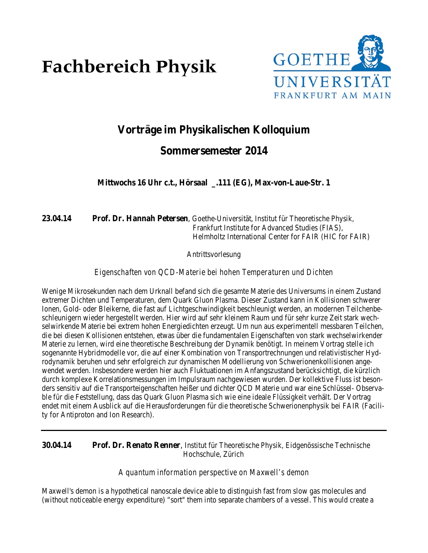# **Fachbereich Physik**



# **Vorträge im Physikalischen Kolloquium**

# **Sommersemester 2014**

**Mittwochs 16 Uhr c.t., Hörsaal \_.111 (EG), Max-von-Laue-Str. 1**

**23.04.14 Prof. Dr. Hannah Petersen**, Goethe-Universität, Institut für Theoretische Physik, Frankfurt Institute for Advanced Studies (FIAS), Helmholtz International Center for FAIR (HIC for FAIR)

Antrittsvorlesung

*Eigenschaften von QCD-Materie bei hohen Temperaturen und Dichten*

Wenige Mikrosekunden nach dem Urknall befand sich die gesamte Materie des Universums in einem Zustand extremer Dichten und Temperaturen, dem Quark Gluon Plasma. Dieser Zustand kann in Kollisionen schwerer Ionen, Gold- oder Bleikerne, die fast auf Lichtgeschwindigkeit beschleunigt werden, an modernen Teilchenbeschleunigern wieder hergestellt werden. Hier wird auf sehr kleinem Raum und für sehr kurze Zeit stark wechselwirkende Materie bei extrem hohen Energiedichten erzeugt. Um nun aus experimentell messbaren Teilchen, die bei diesen Kollisionen entstehen, etwas über die fundamentalen Eigenschaften von stark wechselwirkender Materie zu lernen, wird eine theoretische Beschreibung der Dynamik benötigt. In meinem Vortrag stelle ich sogenannte Hybridmodelle vor, die auf einer Kombination von Transportrechnungen und relativistischer Hydrodynamik beruhen und sehr erfolgreich zur dynamischen Modellierung von Schwerionenkollisionen angewendet werden. Insbesondere werden hier auch Fluktuationen im Anfangszustand berücksichtigt, die kürzlich durch komplexe Korrelationsmessungen im Impulsraum nachgewiesen wurden. Der kollektive Fluss ist besonders sensitiv auf die Transporteigenschaften heißer und dichter QCD Materie und war eine Schlüssel- Observable für die Feststellung, dass das Quark Gluon Plasma sich wie eine ideale Flüssigkeit verhält. Der Vortrag endet mit einem Ausblick auf die Herausforderungen für die theoretische Schwerionenphysik bei FAIR (Facility for Antiproton and Ion Research).

**30.04.14 Prof. Dr. Renato Renner**, Institut für Theoretische Physik, Eidgenössische Technische Hochschule, Zürich

#### *A quantum information perspective on Maxwell's demon*

Maxwell's demon is a hypothetical nanoscale device able to distinguish fast from slow gas molecules and (without noticeable energy expenditure) "sort" them into separate chambers of a vessel. This would create a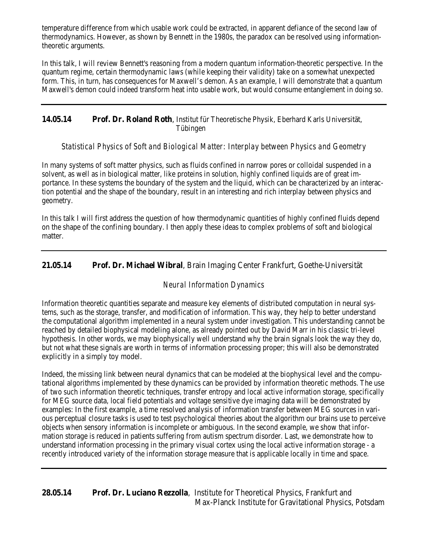temperature difference from which usable work could be extracted, in apparent defiance of the second law of thermodynamics. However, as shown by Bennett in the 1980s, the paradox can be resolved using informationtheoretic arguments.

In this talk, I will review Bennett's reasoning from a modern quantum information-theoretic perspective. In the quantum regime, certain thermodynamic laws (while keeping their validity) take on a somewhat unexpected form. This, in turn, has consequences for Maxwell's demon. As an example, I will demonstrate that a quantum Maxwell's demon could indeed transform heat into usable work, but would consume entanglement in doing so.

### **14.05.14 Prof. Dr. Roland Roth**, Institut für Theoretische Physik, Eberhard Karls Universität, Tübingen

## *Statistical Physics of Soft and Biological Matter: Interplay between Physics and Geometry*

In many systems of soft matter physics, such as fluids confined in narrow pores or colloidal suspended in a solvent, as well as in biological matter, like proteins in solution, highly confined liquids are of great importance. In these systems the boundary of the system and the liquid, which can be characterized by an interaction potential and the shape of the boundary, result in an interesting and rich interplay between physics and geometry.

In this talk I will first address the question of how thermodynamic quantities of highly confined fluids depend on the shape of the confining boundary. I then apply these ideas to complex problems of soft and biological matter.

## **21.05.14 Prof. Dr. Michael Wibral**, Brain Imaging Center Frankfurt, Goethe-Universität

#### *Neural Information Dynamics*

Information theoretic quantities separate and measure key elements of distributed computation in neural systems, such as the storage, transfer, and modification of information. This way, they help to better understand the computational algorithm implemented in a neural system under investigation. This understanding cannot be reached by detailed biophysical modeling alone, as already pointed out by David Marr in his classic tri-level hypothesis. In other words, we may biophysically well understand why the brain signals look the way they do, but not what these signals are worth in terms of information processing proper; this will also be demonstrated explicitly in a simply toy model.

Indeed, the missing link between neural dynamics that can be modeled at the biophysical level and the computational algorithms implemented by these dynamics can be provided by information theoretic methods. The use of two such information theoretic techniques, transfer entropy and local active information storage, specifically for MEG source data, local field potentials and voltage sensitive dye imaging data will be demonstrated by examples: In the first example, a time resolved analysis of information transfer between MEG sources in various perceptual closure tasks is used to test psychological theories about the algorithm our brains use to perceive objects when sensory information is incomplete or ambiguous. In the second example, we show that information storage is reduced in patients suffering from autism spectrum disorder. Last, we demonstrate how to understand information processing in the primary visual cortex using the local active information storage - a recently introduced variety of the information storage measure that is applicable locally in time and space.

# **28.05.14 Prof. Dr. Luciano Rezzolla**, Institute for Theoretical Physics, Frankfurt and Max-Planck Institute for Gravitational Physics, Potsdam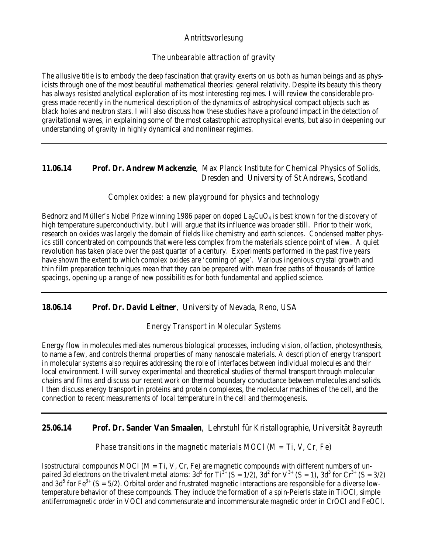#### Antrittsvorlesung

#### *The unbearable attraction of gravity*

The allusive title is to embody the deep fascination that gravity exerts on us both as human beings and as physicists through one of the most beautiful mathematical theories: general relativity. Despite its beauty this theory has always resisted analytical exploration of its most interesting regimes. I will review the considerable progress made recently in the numerical description of the dynamics of astrophysical compact objects such as black holes and neutron stars. I will also discuss how these studies have a profound impact in the detection of gravitational waves, in explaining some of the most catastrophic astrophysical events, but also in deepening our understanding of gravity in highly dynamical and nonlinear regimes.

#### **11.06.14 Prof. Dr. Andrew Mackenzie**, Max Planck Institute for Chemical Physics of Solids, Dresden and University of St Andrews, Scotland

#### *Complex oxides: a new playground for physics and technology*

Bednorz and Müller's Nobel Prize winning 1986 paper on doped  $La_2CuO<sub>4</sub>$  is best known for the discovery of high temperature superconductivity, but I will argue that its influence was broader still. Prior to their work, research on oxides was largely the domain of fields like chemistry and earth sciences. Condensed matter physics still concentrated on compounds that were less complex from the materials science point of view. A quiet revolution has taken place over the past quarter of a century. Experiments performed in the past five years have shown the extent to which complex oxides are 'coming of age'. Various ingenious crystal growth and thin film preparation techniques mean that they can be prepared with mean free paths of thousands of lattice spacings, opening up a range of new possibilities for both fundamental and applied science.

**18.06.14 Prof. Dr. David Leitner**, University of Nevada, Reno, USA

*Energy Transport in Molecular Systems*

Energy flow in molecules mediates numerous biological processes, including vision, olfaction, photosynthesis, to name a few, and controls thermal properties of many nanoscale materials. A description of energy transport in molecular systems also requires addressing the role of interfaces between individual molecules and their local environment. I will survey experimental and theoretical studies of thermal transport through molecular chains and films and discuss our recent work on thermal boundary conductance between molecules and solids. I then discuss energy transport in proteins and protein complexes, the molecular machines of the cell, and the connection to recent measurements of local temperature in the cell and thermogenesis.

#### **25.06.14 Prof. Dr. Sander Van Smaalen**, Lehrstuhl für Kristallographie, Universität Bayreuth

*Phase transitions in the magnetic materials MOCl (M = Ti, V, Cr, Fe)*

Isostructural compounds MOCl ( $M = Ti$ , V, Cr, Fe) are magnetic compounds with different numbers of unpaired 3d electrons on the trivalent metal atoms:  $3d^1$  for  $Ti^{3+}$  (S = 1/2),  $3d^2$  for  $V^{3+}$  (S = 1),  $3d^3$  for  $Cr^{3+}$  (S = 3/2) and 3d<sup>5</sup> for Fe<sup>3+</sup> (S = 5/2). Orbital order and frustrated magnetic interactions are responsible for a diverse lowtemperature behavior of these compounds. They include the formation of a spin-Peierls state in TiOCl, simple antiferromagnetic order in VOCl and commensurate and incommensurate magnetic order in CrOCl and FeOCl.